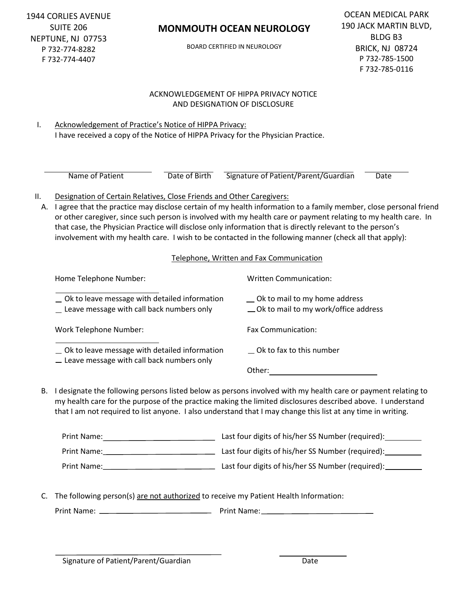1944 CORLIES AVENUE SUITE 206 NEPTUNE, NJ 07753 P 732-774-8282 F 732-774-4407

## **MONMOUTH OCEAN NEUROLOGY**

BOARD CERTIFIED IN NEUROLOGY

### ACKNOWLEDGEMENT OF HIPPA PRIVACY NOTICE AND DESIGNATION OF DISCLOSURE

I. Acknowledgement of Practice's Notice of HIPPA Privacy: I have received a copy of the Notice of HIPPA Privacy for the Physician Practice.

Name of Patient **Date of Birth** Signature of Patient/Parent/Guardian Date

### II. Designation of Certain Relatives, Close Friends and Other Caregivers:

A. I agree that the practice may disclose certain of my health information to a family member, close personal friend or other caregiver, since such person is involved with my health care or payment relating to my health care. In that case, the Physician Practice will disclose only information that is directly relevant to the person's involvement with my health care. I wish to be contacted in the following manner (check all that apply):

#### Telephone, Written and Fax Communication

| Home Telephone Number:                                                                                | <b>Written Communication:</b>                                            |
|-------------------------------------------------------------------------------------------------------|--------------------------------------------------------------------------|
| ◯ Ok to leave message with detailed information<br>Leave message with call back numbers only          | _ Ok to mail to my home address<br>_Ok to mail to my work/office address |
| Work Telephone Number:                                                                                | <b>Fax Communication:</b>                                                |
| $\equiv$ Ok to leave message with detailed information<br>- Leave message with call back numbers only | $\equiv$ Ok to fax to this number                                        |
|                                                                                                       | Other:                                                                   |

B. I designate the following persons listed below as persons involved with my health care or payment relating to my health care for the purpose of the practice making the limited disclosures described above. I understand that I am not required to list anyone. I also understand that I may change this list at any time in writing.

| Print Name: | Last four digits of his/her SS Number (required): |
|-------------|---------------------------------------------------|
| Print Name: | Last four digits of his/her SS Number (required): |
| Print Name: | Last four digits of his/her SS Number (required): |

C. The following person(s) are not authorized to receive my Patient Health Information:

Print Name: Print Name: